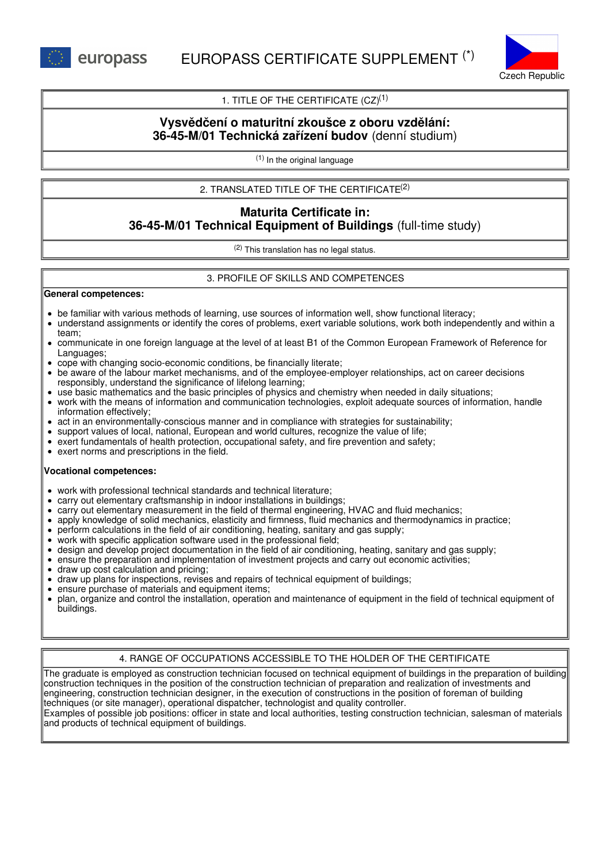

# 1. TITLE OF THE CERTIFICATE  $(CZ)^{(1)}$

# **Vysvědčení o maturitní zkoušce z oboru vzdělání: 36-45-M/01 Technická zařízení budov** (denní studium)

(1) In the original language

# 2. TRANSLATED TITLE OF THE CERTIFICATE (2)

# **Maturita Certificate in: 36-45-M/01 Technical Equipment of Buildings** (full-time study)

(2) This translation has no legal status.

## 3. PROFILE OF SKILLS AND COMPETENCES

#### **General competences:**

- be familiar with various methods of learning, use sources of information well, show functional literacy;
- understand assignments or identify the cores of problems, exert variable solutions, work both independently and within a team;
- communicate in one foreign language at the level of at least B1 of the Common European Framework of Reference for Languages;
- cope with changing socio-economic conditions, be financially literate;
- be aware of the labour market mechanisms, and of the employee-employer relationships, act on career decisions responsibly, understand the significance of lifelong learning;
- use basic mathematics and the basic principles of physics and chemistry when needed in daily situations;
- work with the means of information and communication technologies, exploit adequate sources of information, handle information effectively;
- act in an environmentally-conscious manner and in compliance with strategies for sustainability;
- support values of local, national, European and world cultures, recognize the value of life;
- exert fundamentals of health protection, occupational safety, and fire prevention and safety;
- exert norms and prescriptions in the field.

#### **Vocational competences:**

- work with professional technical standards and technical literature;
- carry out elementary craftsmanship in indoor installations in buildings;
- carry out elementary measurement in the field of thermal engineering, HVAC and fluid mechanics;
- apply knowledge of solid mechanics, elasticity and firmness, fluid mechanics and thermodynamics in practice;
- perform calculations in the field of air conditioning, heating, sanitary and gas supply;
- work with specific application software used in the professional field;
- design and develop project documentation in the field of air conditioning, heating, sanitary and gas supply;
- ensure the preparation and implementation of investment projects and carry out economic activities;
- draw up cost calculation and pricing;
- draw up plans for inspections, revises and repairs of technical equipment of buildings;
- ensure purchase of materials and equipment items;
- plan, organize and control the installation, operation and maintenance of equipment in the field of technical equipment of buildings.

## 4. RANGE OF OCCUPATIONS ACCESSIBLE TO THE HOLDER OF THE CERTIFICATE

The graduate is employed as construction technician focused on technical equipment of buildings in the preparation of building construction techniques in the position of the construction technician of preparation and realization of investments and engineering, construction technician designer, in the execution of constructions in the position of foreman of building techniques (or site manager), operational dispatcher, technologist and quality controller. Examples of possible job positions: officer in state and local authorities, testing construction technician, salesman of materials and products of technical equipment of buildings.